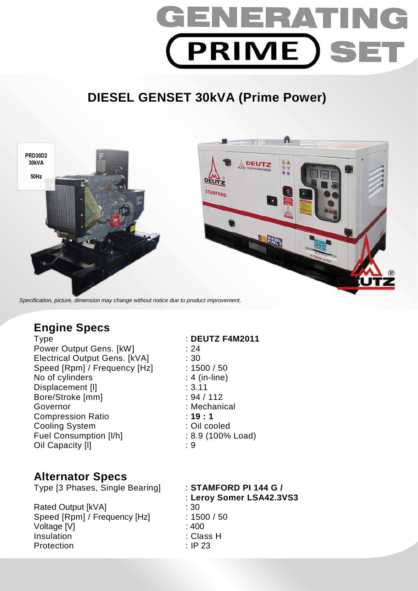

# **DIESEL GENSET 30kVA (Prime Power)**



Specification, picture, dimension may change without notice due to product improvement.

## **Engine Specs**

Type : **DEUTZ F4M2011**  Power Output Gens. [kW]  $\qquad \qquad$  : 24 Electrical Output Gens. [kVA] : 30 Speed [Rpm] / Frequency [Hz] : 1500 / 50 No of cylinders : 4 (in-line) Displacement [I] 3.11 Bore/Stroke [mm] : 94 / 112 Governor : Mechanical Compression Ratio : **19 : 1**  Cooling System : Cil cooled Fuel Consumption [I/h] : 8.9 (100% Load) Oil Capacity [l] : 9

### **Alternator Specs**

Type [3 Phases, Single Bearing] : **STAMFORD PI 144 G /** 

Rated Output [kVA] : 30 Speed [Rpm] / Frequency [Hz] : 1500 / 50 Voltage [V] : 400 Insulation : Class H Protection : IP 23

: **Leroy Somer LSA42.3VS3**